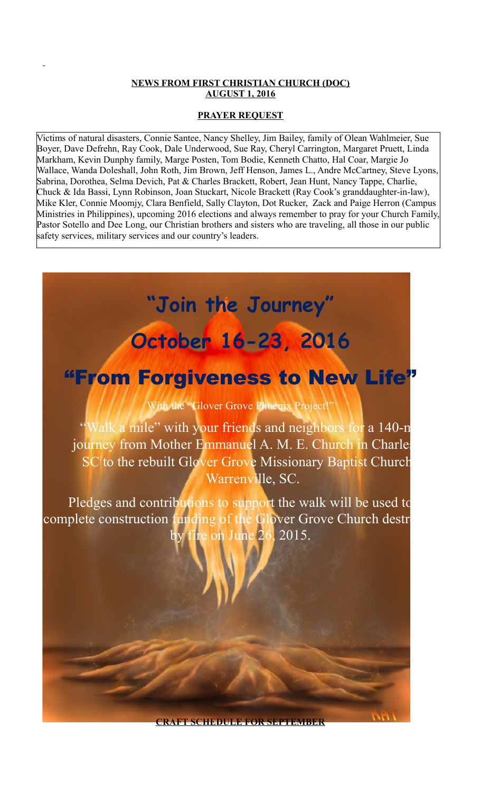### **NEWS FROM FIRST CHRISTIAN CHURCH (DOC) AUGUST 1, 2016**

### **PRAYER REQUEST**

Victims of natural disasters, Connie Santee, Nancy Shelley, Jim Bailey, family of Olean Wahlmeier, Sue Boyer, Dave Defrehn, Ray Cook, Dale Underwood, Sue Ray, Cheryl Carrington, Margaret Pruett, Linda Markham, Kevin Dunphy family, Marge Posten, Tom Bodie, Kenneth Chatto, Hal Coar, Margie Jo Wallace, Wanda Doleshall, John Roth, Jim Brown, Jeff Henson, James L., Andre McCartney, Steve Lyons, Sabrina, Dorothea, Selma Devich, Pat & Charles Brackett, Robert, Jean Hunt, Nancy Tappe, Charlie, Chuck & Ida Bassi, Lynn Robinson, Joan Stuckart, Nicole Brackett (Ray Cook's granddaughter-in-law), Mike Kler, Connie Moomjy, Clara Benfield, Sally Clayton, Dot Rucker, Zack and Paige Herron (Campus Ministries in Philippines), upcoming 2016 elections and always remember to pray for your Church Family, Pastor Sotello and Dee Long, our Christian brothers and sisters who are traveling, all those in our public safety services, military services and our country's leaders.



**CRAFT SCHEDULE FOR SEPTEMBER**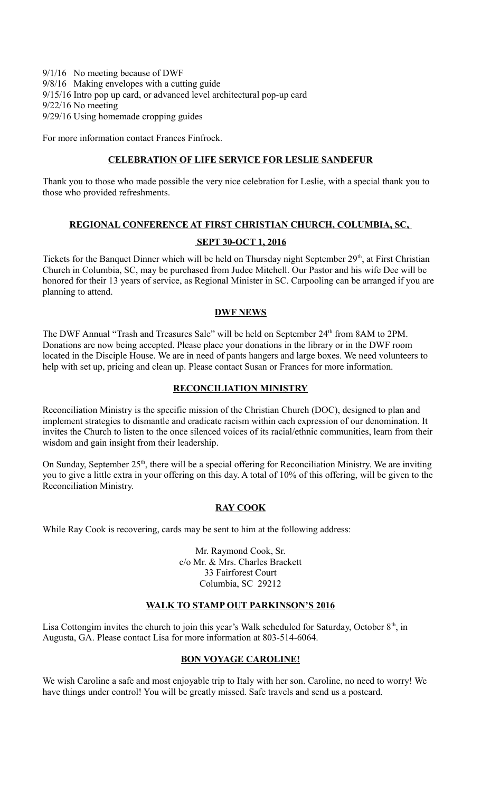9/1/16 No meeting because of DWF 9/8/16 Making envelopes with a cutting guide 9/15/16 Intro pop up card, or advanced level architectural pop-up card 9/22/16 No meeting 9/29/16 Using homemade cropping guides

For more information contact Frances Finfrock.

#### **CELEBRATION OF LIFE SERVICE FOR LESLIE SANDEFUR**

Thank you to those who made possible the very nice celebration for Leslie, with a special thank you to those who provided refreshments.

#### **REGIONAL CONFERENCE AT FIRST CHRISTIAN CHURCH, COLUMBIA, SC,**

### **SEPT 30-OCT 1, 2016**

Tickets for the Banquet Dinner which will be held on Thursday night September 29<sup>th</sup>, at First Christian Church in Columbia, SC, may be purchased from Judee Mitchell. Our Pastor and his wife Dee will be honored for their 13 years of service, as Regional Minister in SC. Carpooling can be arranged if you are planning to attend.

### **DWF NEWS**

The DWF Annual "Trash and Treasures Sale" will be held on September 24<sup>th</sup> from 8AM to 2PM. Donations are now being accepted. Please place your donations in the library or in the DWF room located in the Disciple House. We are in need of pants hangers and large boxes. We need volunteers to help with set up, pricing and clean up. Please contact Susan or Frances for more information.

### **RECONCILIATION MINISTRY**

Reconciliation Ministry is the specific mission of the Christian Church (DOC), designed to plan and implement strategies to dismantle and eradicate racism within each expression of our denomination. It invites the Church to listen to the once silenced voices of its racial/ethnic communities, learn from their wisdom and gain insight from their leadership.

On Sunday, September 25<sup>th</sup>, there will be a special offering for Reconciliation Ministry. We are inviting you to give a little extra in your offering on this day. A total of 10% of this offering, will be given to the Reconciliation Ministry.

# **RAY COOK**

While Ray Cook is recovering, cards may be sent to him at the following address:

Mr. Raymond Cook, Sr. c/o Mr. & Mrs. Charles Brackett 33 Fairforest Court Columbia, SC 29212

# **WALK TO STAMP OUT PARKINSON'S 2016**

Lisa Cottongim invites the church to join this year's Walk scheduled for Saturday, October  $8<sup>th</sup>$ , in Augusta, GA. Please contact Lisa for more information at 803-514-6064.

# **BON VOYAGE CAROLINE!**

We wish Caroline a safe and most enjoyable trip to Italy with her son. Caroline, no need to worry! We have things under control! You will be greatly missed. Safe travels and send us a postcard.